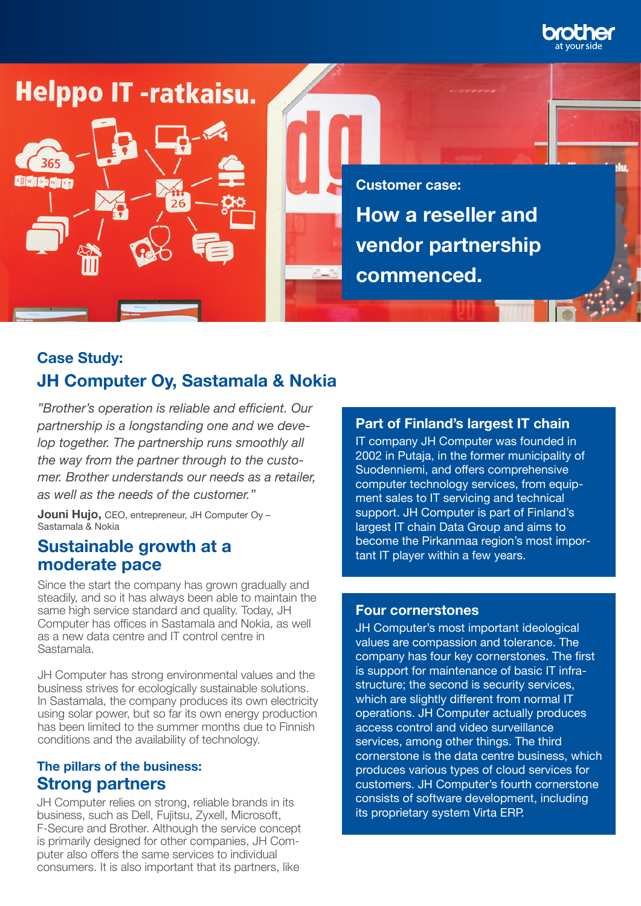

# **Helppo IT -ratkaisu.**

**XII WEIGHTEN** 

**How a reseller and vendor partnership commenced. Customer case:**

# **Case Study: JH Computer Oy, Sastamala & Nokia**

*"Brother's operation is reliable and efficient. Our partnership is a longstanding one and we develop together. The partnership runs smoothly all the way from the partner through to the customer. Brother understands our needs as a retailer, as well as the needs of the customer."*

26

**Jouni Hujo,** CEO, entrepreneur, JH Computer Oy – Sastamala & Nokia

## **Sustainable growth at a moderate pace**

Since the start the company has grown gradually and steadily, and so it has always been able to maintain the same high service standard and quality. Today, JH Computer has offices in Sastamala and Nokia, as well as a new data centre and IT control centre in Sastamala.

JH Computer has strong environmental values and the business strives for ecologically sustainable solutions. In Sastamala, the company produces its own electricity using solar power, but so far its own energy production has been limited to the summer months due to Finnish conditions and the availability of technology.

#### **The pillars of the business: Strong partners**

JH Computer relies on strong, reliable brands in its business, such as Dell, Fujitsu, Zyxell, Microsoft, F-Secure and Brother. Although the service concept is primarily designed for other companies, JH Computer also offers the same services to individual consumers. It is also important that its partners, like

#### **Part of Finland's largest IT chain**

IT company JH Computer was founded in 2002 in Putaja, in the former municipality of Suodenniemi, and offers comprehensive computer technology services, from equipment sales to IT servicing and technical support. JH Computer is part of Finland's largest IT chain Data Group and aims to become the Pirkanmaa region's most important IT player within a few years.

#### **Four cornerstones**

JH Computer's most important ideological values are compassion and tolerance. The company has four key cornerstones. The first is support for maintenance of basic IT infrastructure; the second is security services, which are slightly different from normal IT operations. JH Computer actually produces access control and video surveillance services, among other things. The third cornerstone is the data centre business, which produces various types of cloud services for customers. JH Computer's fourth cornerstone consists of software development, including its proprietary system Virta ERP.